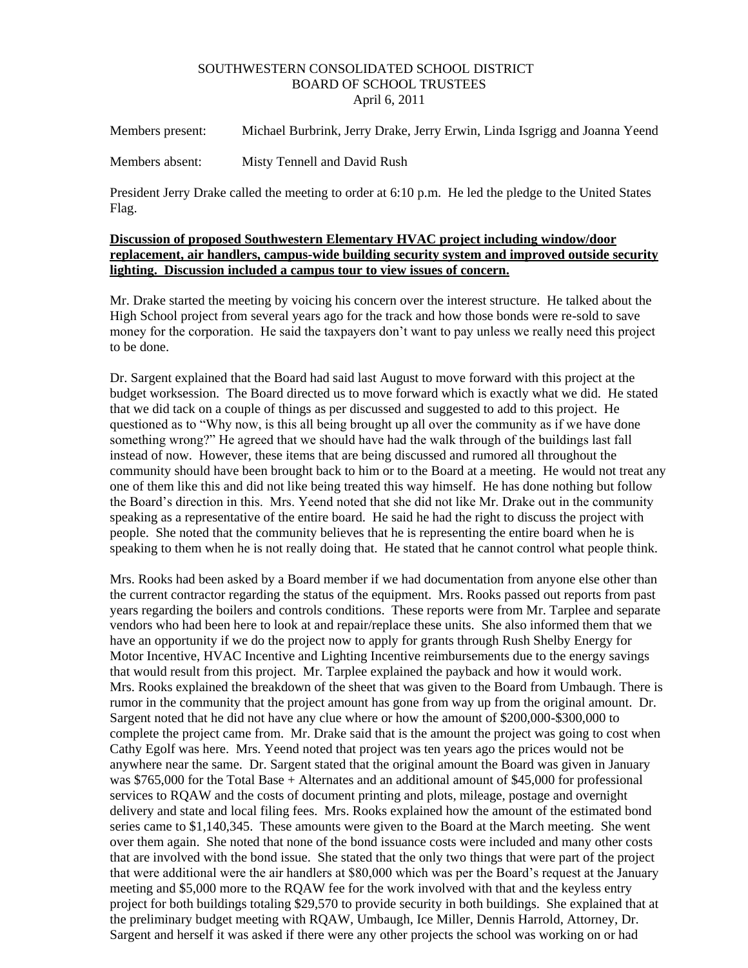## SOUTHWESTERN CONSOLIDATED SCHOOL DISTRICT BOARD OF SCHOOL TRUSTEES April 6, 2011

Members present: Michael Burbrink, Jerry Drake, Jerry Erwin, Linda Isgrigg and Joanna Yeend

Members absent: Misty Tennell and David Rush

President Jerry Drake called the meeting to order at 6:10 p.m. He led the pledge to the United States Flag.

## **Discussion of proposed Southwestern Elementary HVAC project including window/door replacement, air handlers, campus-wide building security system and improved outside security lighting. Discussion included a campus tour to view issues of concern.**

Mr. Drake started the meeting by voicing his concern over the interest structure. He talked about the High School project from several years ago for the track and how those bonds were re-sold to save money for the corporation. He said the taxpayers don't want to pay unless we really need this project to be done.

Dr. Sargent explained that the Board had said last August to move forward with this project at the budget worksession. The Board directed us to move forward which is exactly what we did. He stated that we did tack on a couple of things as per discussed and suggested to add to this project. He questioned as to "Why now, is this all being brought up all over the community as if we have done something wrong?" He agreed that we should have had the walk through of the buildings last fall instead of now. However, these items that are being discussed and rumored all throughout the community should have been brought back to him or to the Board at a meeting. He would not treat any one of them like this and did not like being treated this way himself. He has done nothing but follow the Board's direction in this. Mrs. Yeend noted that she did not like Mr. Drake out in the community speaking as a representative of the entire board. He said he had the right to discuss the project with people. She noted that the community believes that he is representing the entire board when he is speaking to them when he is not really doing that. He stated that he cannot control what people think.

Mrs. Rooks had been asked by a Board member if we had documentation from anyone else other than the current contractor regarding the status of the equipment. Mrs. Rooks passed out reports from past years regarding the boilers and controls conditions. These reports were from Mr. Tarplee and separate vendors who had been here to look at and repair/replace these units. She also informed them that we have an opportunity if we do the project now to apply for grants through Rush Shelby Energy for Motor Incentive, HVAC Incentive and Lighting Incentive reimbursements due to the energy savings that would result from this project. Mr. Tarplee explained the payback and how it would work. Mrs. Rooks explained the breakdown of the sheet that was given to the Board from Umbaugh. There is rumor in the community that the project amount has gone from way up from the original amount. Dr. Sargent noted that he did not have any clue where or how the amount of \$200,000-\$300,000 to complete the project came from. Mr. Drake said that is the amount the project was going to cost when Cathy Egolf was here. Mrs. Yeend noted that project was ten years ago the prices would not be anywhere near the same. Dr. Sargent stated that the original amount the Board was given in January was \$765,000 for the Total Base + Alternates and an additional amount of \$45,000 for professional services to RQAW and the costs of document printing and plots, mileage, postage and overnight delivery and state and local filing fees. Mrs. Rooks explained how the amount of the estimated bond series came to \$1,140,345. These amounts were given to the Board at the March meeting. She went over them again. She noted that none of the bond issuance costs were included and many other costs that are involved with the bond issue. She stated that the only two things that were part of the project that were additional were the air handlers at \$80,000 which was per the Board's request at the January meeting and \$5,000 more to the RQAW fee for the work involved with that and the keyless entry project for both buildings totaling \$29,570 to provide security in both buildings. She explained that at the preliminary budget meeting with RQAW, Umbaugh, Ice Miller, Dennis Harrold, Attorney, Dr. Sargent and herself it was asked if there were any other projects the school was working on or had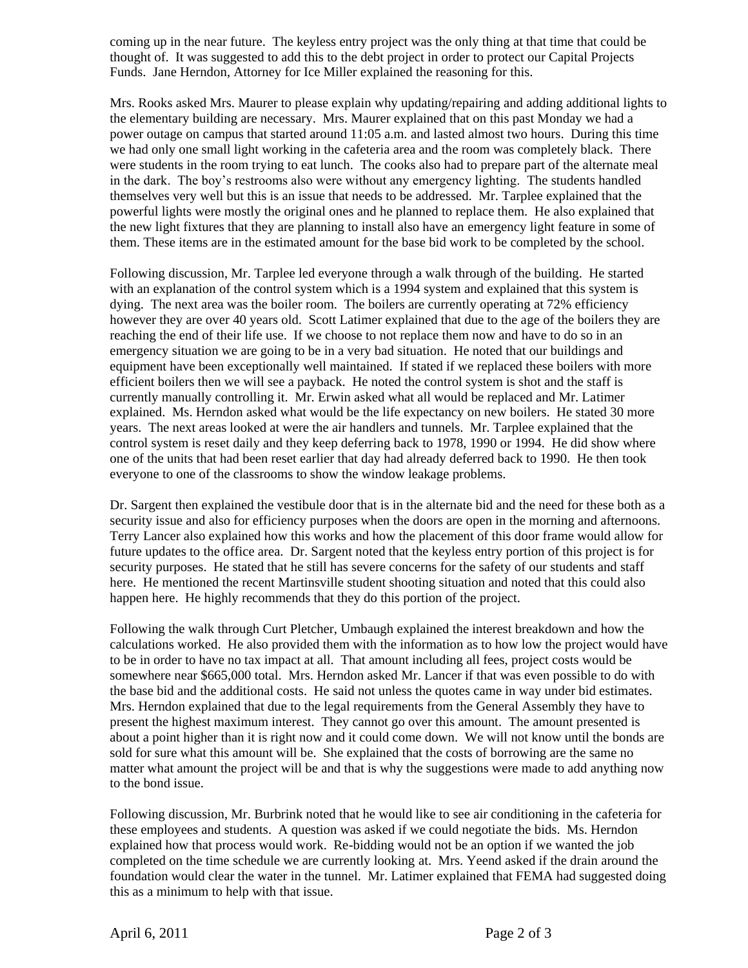coming up in the near future. The keyless entry project was the only thing at that time that could be thought of. It was suggested to add this to the debt project in order to protect our Capital Projects Funds. Jane Herndon, Attorney for Ice Miller explained the reasoning for this.

Mrs. Rooks asked Mrs. Maurer to please explain why updating/repairing and adding additional lights to the elementary building are necessary. Mrs. Maurer explained that on this past Monday we had a power outage on campus that started around 11:05 a.m. and lasted almost two hours. During this time we had only one small light working in the cafeteria area and the room was completely black. There were students in the room trying to eat lunch. The cooks also had to prepare part of the alternate meal in the dark. The boy's restrooms also were without any emergency lighting. The students handled themselves very well but this is an issue that needs to be addressed. Mr. Tarplee explained that the powerful lights were mostly the original ones and he planned to replace them. He also explained that the new light fixtures that they are planning to install also have an emergency light feature in some of them. These items are in the estimated amount for the base bid work to be completed by the school.

Following discussion, Mr. Tarplee led everyone through a walk through of the building. He started with an explanation of the control system which is a 1994 system and explained that this system is dying. The next area was the boiler room. The boilers are currently operating at 72% efficiency however they are over 40 years old. Scott Latimer explained that due to the age of the boilers they are reaching the end of their life use. If we choose to not replace them now and have to do so in an emergency situation we are going to be in a very bad situation. He noted that our buildings and equipment have been exceptionally well maintained. If stated if we replaced these boilers with more efficient boilers then we will see a payback. He noted the control system is shot and the staff is currently manually controlling it. Mr. Erwin asked what all would be replaced and Mr. Latimer explained. Ms. Herndon asked what would be the life expectancy on new boilers. He stated 30 more years. The next areas looked at were the air handlers and tunnels. Mr. Tarplee explained that the control system is reset daily and they keep deferring back to 1978, 1990 or 1994. He did show where one of the units that had been reset earlier that day had already deferred back to 1990. He then took everyone to one of the classrooms to show the window leakage problems.

Dr. Sargent then explained the vestibule door that is in the alternate bid and the need for these both as a security issue and also for efficiency purposes when the doors are open in the morning and afternoons. Terry Lancer also explained how this works and how the placement of this door frame would allow for future updates to the office area. Dr. Sargent noted that the keyless entry portion of this project is for security purposes. He stated that he still has severe concerns for the safety of our students and staff here. He mentioned the recent Martinsville student shooting situation and noted that this could also happen here. He highly recommends that they do this portion of the project.

Following the walk through Curt Pletcher, Umbaugh explained the interest breakdown and how the calculations worked. He also provided them with the information as to how low the project would have to be in order to have no tax impact at all. That amount including all fees, project costs would be somewhere near \$665,000 total. Mrs. Herndon asked Mr. Lancer if that was even possible to do with the base bid and the additional costs. He said not unless the quotes came in way under bid estimates. Mrs. Herndon explained that due to the legal requirements from the General Assembly they have to present the highest maximum interest. They cannot go over this amount. The amount presented is about a point higher than it is right now and it could come down. We will not know until the bonds are sold for sure what this amount will be. She explained that the costs of borrowing are the same no matter what amount the project will be and that is why the suggestions were made to add anything now to the bond issue.

Following discussion, Mr. Burbrink noted that he would like to see air conditioning in the cafeteria for these employees and students. A question was asked if we could negotiate the bids. Ms. Herndon explained how that process would work. Re-bidding would not be an option if we wanted the job completed on the time schedule we are currently looking at. Mrs. Yeend asked if the drain around the foundation would clear the water in the tunnel. Mr. Latimer explained that FEMA had suggested doing this as a minimum to help with that issue.